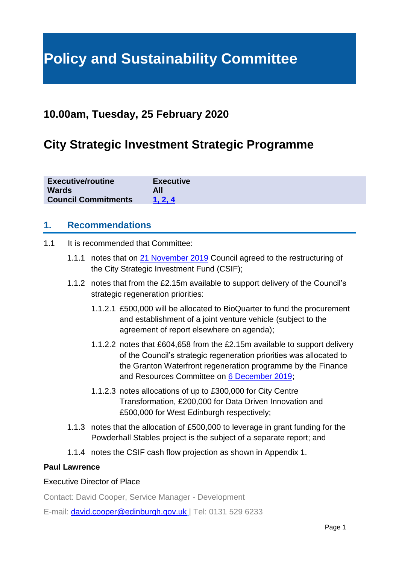# **Policy and Sustainability Committee**

# **10.00am, Tuesday, 25 February 2020**

# **City Strategic Investment Strategic Programme**

| <b>Executive/routine</b>   | <b>Executive</b> |
|----------------------------|------------------|
| <b>Wards</b>               | All              |
| <b>Council Commitments</b> | 1.2.4            |

### **1. Recommendations**

- 1.1 It is recommended that Committee:
	- 1.1.1 notes that on [21 November 2019](https://democracy.edinburgh.gov.uk/ieListDocuments.aspx?CId=150&MId=410&Ver=4) Council agreed to the restructuring of the City Strategic Investment Fund (CSIF);
	- 1.1.2 notes that from the £2.15m available to support delivery of the Council's strategic regeneration priorities:
		- 1.1.2.1 £500,000 will be allocated to BioQuarter to fund the procurement and establishment of a joint venture vehicle (subject to the agreement of report elsewhere on agenda);
		- 1.1.2.2 notes that £604,658 from the £2.15m available to support delivery of the Council's strategic regeneration priorities was allocated to the Granton Waterfront regeneration programme by the Finance and Resources Committee on [6 December 2019;](https://democracy.edinburgh.gov.uk/ieListDocuments.aspx?CId=140&MId=347&Ver=4)
		- 1.1.2.3 notes allocations of up to £300,000 for City Centre Transformation, £200,000 for Data Driven Innovation and £500,000 for West Edinburgh respectively;
	- 1.1.3 notes that the allocation of £500,000 to leverage in grant funding for the Powderhall Stables project is the subject of a separate report; and
	- 1.1.4 notes the CSIF cash flow projection as shown in Appendix 1.

#### **Paul Lawrence**

#### Executive Director of Place

Contact: David Cooper, Service Manager - Development

E-mail: [david.cooper@edinburgh.gov.uk](mailto:david.cooper@edinburgh.gov.uk) | Tel: 0131 529 6233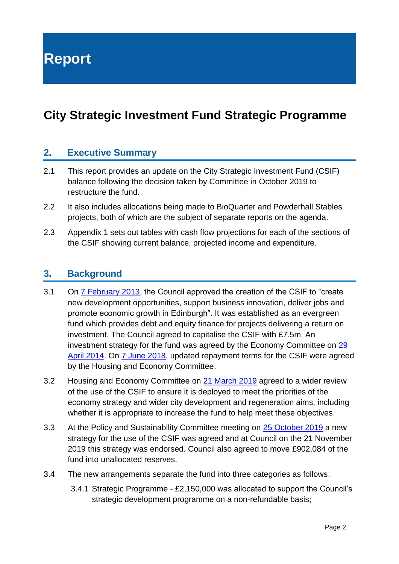**Report**

# **City Strategic Investment Fund Strategic Programme**

### **2. Executive Summary**

- 2.1 This report provides an update on the City Strategic Investment Fund (CSIF) balance following the decision taken by Committee in October 2019 to restructure the fund.
- 2.2 It also includes allocations being made to BioQuarter and Powderhall Stables projects, both of which are the subject of separate reports on the agenda.
- 2.3 Appendix 1 sets out tables with cash flow projections for each of the sections of the CSIF showing current balance, projected income and expenditure.

### **3. Background**

- 3.1 On [7 February 2013,](https://democracy.edinburgh.gov.uk/CeListDocuments.aspx?CommitteeId=150&MeetingId=956&DF=07%2f02%2f2013&Ver=2) the Council approved the creation of the CSIF to "create new development opportunities, support business innovation, deliver jobs and promote economic growth in Edinburgh". It was established as an evergreen fund which provides debt and equity finance for projects delivering a return on investment. The Council agreed to capitalise the CSIF with £7.5m. An investment strategy for the fund was agreed by the Economy Committee on [29](https://democracy.edinburgh.gov.uk/CeListDocuments.aspx?CommitteeId=276&MeetingId=1943&DF=29%2f04%2f2014&Ver=2)  [April 2014.](https://democracy.edinburgh.gov.uk/CeListDocuments.aspx?CommitteeId=276&MeetingId=1943&DF=29%2f04%2f2014&Ver=2) On [7 June 2018,](https://democracy.edinburgh.gov.uk/CeListDocuments.aspx?CommitteeId=287&MeetingId=2520&DF=07%2f06%2f2018&Ver=2) updated repayment terms for the CSIF were agreed by the Housing and Economy Committee.
- 3.2 Housing and Economy Committee on [21 March 2019](https://democracy.edinburgh.gov.uk/CeListDocuments.aspx?CommitteeId=287&MeetingId=4954&DF=21%2f03%2f2019&Ver=2) agreed to a wider review of the use of the CSIF to ensure it is deployed to meet the priorities of the economy strategy and wider city development and regeneration aims, including whether it is appropriate to increase the fund to help meet these objectives.
- 3.3 At the Policy and Sustainability Committee meeting on **25 October 2019** a new strategy for the use of the CSIF was agreed and at Council on the 21 November 2019 this strategy was endorsed. Council also agreed to move £902,084 of the fund into unallocated reserves.
- 3.4 The new arrangements separate the fund into three categories as follows:
	- 3.4.1 Strategic Programme £2,150,000 was allocated to support the Council's strategic development programme on a non-refundable basis;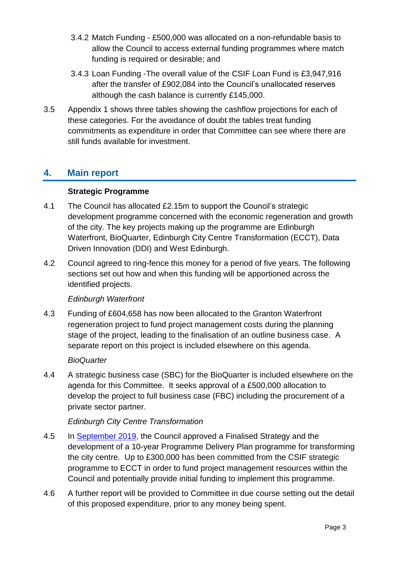- 3.4.2 Match Funding £500,000 was allocated on a non-refundable basis to allow the Council to access external funding programmes where match funding is required or desirable; and
- 3.4.3 Loan Funding -The overall value of the CSIF Loan Fund is £3,947,916 after the transfer of £902,084 into the Council's unallocated reserves although the cash balance is currently £145,000.
- 3.5 Appendix 1 shows three tables showing the cashflow projections for each of these categories. For the avoidance of doubt the tables treat funding commitments as expenditure in order that Committee can see where there are still funds available for investment.

# **4. Main report**

#### **Strategic Programme**

- 4.1 The Council has allocated £2.15m to support the Council's strategic development programme concerned with the economic regeneration and growth of the city. The key projects making up the programme are Edinburgh Waterfront, BioQuarter, Edinburgh City Centre Transformation (ECCT), Data Driven Innovation (DDI) and West Edinburgh.
- 4.2 Council agreed to ring-fence this money for a period of five years. The following sections set out how and when this funding will be apportioned across the identified projects.

#### *Edinburgh Waterfront*

4.3 Funding of £604,658 has now been allocated to the Granton Waterfront regeneration project to fund project management costs during the planning stage of the project, leading to the finalisation of an outline business case. A separate report on this project is included elsewhere on this agenda.

#### *BioQuarter*

4.4 A strategic business case (SBC) for the BioQuarter is included elsewhere on the agenda for this Committee. It seeks approval of a £500,000 allocation to develop the project to full business case (FBC) including the procurement of a private sector partner.

#### *Edinburgh City Centre Transformation*

- 4.5 In [September 2019,](https://democracy.edinburgh.gov.uk/documents/s6418/Item%208.3%20-%20Edinburgh%20CCT%20Finalised%20Strategy%20-%20referral%20to%20Council%20FINAL.pdf) the Council approved a Finalised Strategy and the development of a 10-year Programme Delivery Plan programme for transforming the city centre. Up to £300,000 has been committed from the CSIF strategic programme to ECCT in order to fund project management resources within the Council and potentially provide initial funding to implement this programme.
- 4.6 A further report will be provided to Committee in due course setting out the detail of this proposed expenditure, prior to any money being spent.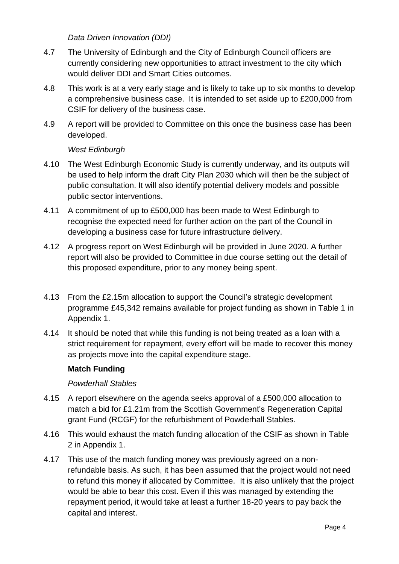*Data Driven Innovation (DDI)*

- 4.7 The University of Edinburgh and the City of Edinburgh Council officers are currently considering new opportunities to attract investment to the city which would deliver DDI and Smart Cities outcomes.
- 4.8 This work is at a very early stage and is likely to take up to six months to develop a comprehensive business case. It is intended to set aside up to £200,000 from CSIF for delivery of the business case.
- 4.9 A report will be provided to Committee on this once the business case has been developed.

#### *West Edinburgh*

- 4.10 The West Edinburgh Economic Study is currently underway, and its outputs will be used to help inform the draft City Plan 2030 which will then be the subject of public consultation. It will also identify potential delivery models and possible public sector interventions.
- 4.11 A commitment of up to £500,000 has been made to West Edinburgh to recognise the expected need for further action on the part of the Council in developing a business case for future infrastructure delivery.
- 4.12 A progress report on West Edinburgh will be provided in June 2020. A further report will also be provided to Committee in due course setting out the detail of this proposed expenditure, prior to any money being spent.
- 4.13 From the £2.15m allocation to support the Council's strategic development programme £45,342 remains available for project funding as shown in Table 1 in Appendix 1.
- 4.14 It should be noted that while this funding is not being treated as a loan with a strict requirement for repayment, every effort will be made to recover this money as projects move into the capital expenditure stage.

#### **Match Funding**

#### *Powderhall Stables*

- 4.15 A report elsewhere on the agenda seeks approval of a £500,000 allocation to match a bid for £1.21m from the Scottish Government's Regeneration Capital grant Fund (RCGF) for the refurbishment of Powderhall Stables.
- 4.16 This would exhaust the match funding allocation of the CSIF as shown in Table 2 in Appendix 1.
- 4.17 This use of the match funding money was previously agreed on a nonrefundable basis. As such, it has been assumed that the project would not need to refund this money if allocated by Committee. It is also unlikely that the project would be able to bear this cost. Even if this was managed by extending the repayment period, it would take at least a further 18-20 years to pay back the capital and interest.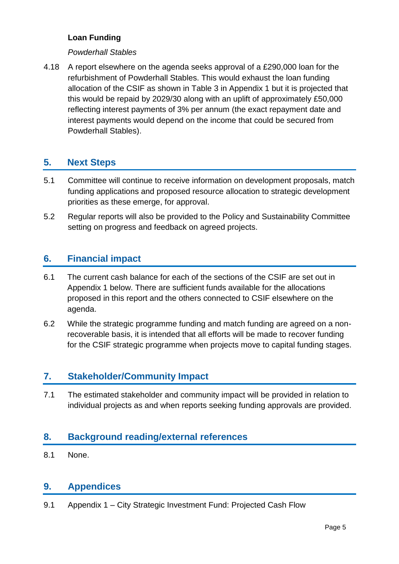#### **Loan Funding**

#### *Powderhall Stables*

4.18 A report elsewhere on the agenda seeks approval of a £290,000 loan for the refurbishment of Powderhall Stables. This would exhaust the loan funding allocation of the CSIF as shown in Table 3 in Appendix 1 but it is projected that this would be repaid by 2029/30 along with an uplift of approximately £50,000 reflecting interest payments of 3% per annum (the exact repayment date and interest payments would depend on the income that could be secured from Powderhall Stables).

# **5. Next Steps**

- 5.1 Committee will continue to receive information on development proposals, match funding applications and proposed resource allocation to strategic development priorities as these emerge, for approval.
- 5.2 Regular reports will also be provided to the Policy and Sustainability Committee setting on progress and feedback on agreed projects.

# **6. Financial impact**

- 6.1 The current cash balance for each of the sections of the CSIF are set out in Appendix 1 below. There are sufficient funds available for the allocations proposed in this report and the others connected to CSIF elsewhere on the agenda.
- 6.2 While the strategic programme funding and match funding are agreed on a nonrecoverable basis, it is intended that all efforts will be made to recover funding for the CSIF strategic programme when projects move to capital funding stages.

# **7. Stakeholder/Community Impact**

7.1 The estimated stakeholder and community impact will be provided in relation to individual projects as and when reports seeking funding approvals are provided.

# **8. Background reading/external references**

8.1 None.

# **9. Appendices**

9.1 Appendix 1 – City Strategic Investment Fund: Projected Cash Flow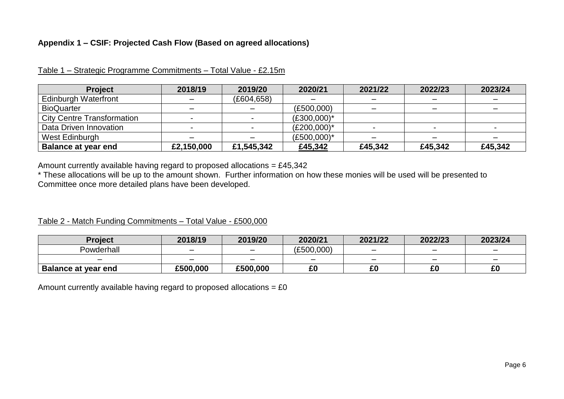#### **Appendix 1 – CSIF: Projected Cash Flow (Based on agreed allocations)**

| <b>Project</b>                    | 2018/19    | 2019/20     | 2020/21        | 2021/22 | 2022/23 | 2023/24 |
|-----------------------------------|------------|-------------|----------------|---------|---------|---------|
| <b>Edinburgh Waterfront</b>       |            | (E604, 658) |                | -       |         |         |
| <b>BioQuarter</b>                 |            |             | (E500,000)     |         |         |         |
| <b>City Centre Transformation</b> |            |             | $(E300,000)^*$ |         |         |         |
| Data Driven Innovation            |            |             | $(E200,000)^*$ |         |         |         |
| West Edinburgh                    |            |             | $(E500,000)^*$ |         |         |         |
| <b>Balance at year end</b>        | £2,150,000 | £1,545,342  | £45,342        | £45,342 | £45,342 | £45,342 |

Table 1 – Strategic Programme Commitments – Total Value - £2.15m

Amount currently available having regard to proposed allocations =  $£45,342$ 

\* These allocations will be up to the amount shown. Further information on how these monies will be used will be presented to Committee once more detailed plans have been developed.

#### Table 2 - Match Funding Commitments – Total Value - £500,000

| <b>Project</b>             | 2018/19                  | 2019/20                  | 2020/21    | 2021/22                  | 2022/23                  | 2023/24 |
|----------------------------|--------------------------|--------------------------|------------|--------------------------|--------------------------|---------|
| Powderhall                 | $\overline{\phantom{0}}$ | $\overline{\phantom{0}}$ | (£500,000) | $\overline{\phantom{0}}$ | $\overline{\phantom{0}}$ |         |
|                            | $\overline{\phantom{0}}$ |                          | -          | $\overline{\phantom{0}}$ | -                        | -       |
| <b>Balance at year end</b> | £500.000                 | £500,000                 | £0         | r r                      | r,<br>τu                 | £0      |

Amount currently available having regard to proposed allocations =  $£0$